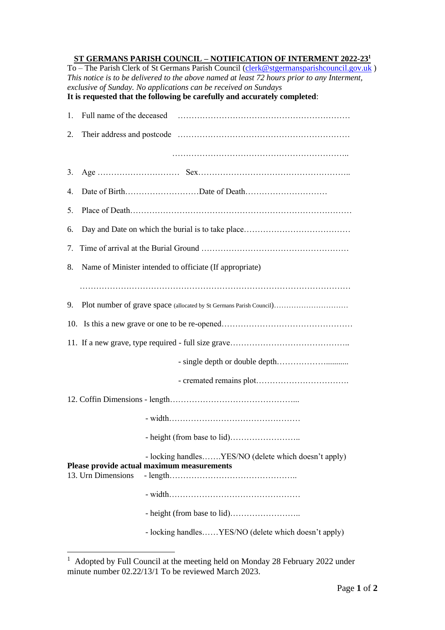## **ST GERMANS PARISH COUNCIL – NOTIFICATION OF INTERMENT 2022-23 1**

To – The Parish Clerk of St Germans Parish Council [\(clerk@stgermansparishcouncil.gov.uk](mailto:clerk@stgermansparishcouncil.gov.uk)) *This notice is to be delivered to the above named at least 72 hours prior to any Interment, exclusive of Sunday. No applications can be received on Sundays* **It is requested that the following be carefully and accurately completed**:

| 1.                                                                                                                       |                                                                     |  |
|--------------------------------------------------------------------------------------------------------------------------|---------------------------------------------------------------------|--|
| 2.                                                                                                                       |                                                                     |  |
|                                                                                                                          |                                                                     |  |
| 3.                                                                                                                       |                                                                     |  |
| 4.                                                                                                                       |                                                                     |  |
| 5.                                                                                                                       |                                                                     |  |
| 6.                                                                                                                       |                                                                     |  |
| 7.                                                                                                                       |                                                                     |  |
| 8.                                                                                                                       | Name of Minister intended to officiate (If appropriate)             |  |
|                                                                                                                          |                                                                     |  |
| 9.                                                                                                                       | Plot number of grave space (allocated by St Germans Parish Council) |  |
|                                                                                                                          |                                                                     |  |
|                                                                                                                          |                                                                     |  |
|                                                                                                                          |                                                                     |  |
|                                                                                                                          |                                                                     |  |
|                                                                                                                          |                                                                     |  |
|                                                                                                                          |                                                                     |  |
|                                                                                                                          |                                                                     |  |
| - locking handlesYES/NO (delete which doesn't apply)<br>Please provide actual maximum measurements<br>13. Urn Dimensions |                                                                     |  |
|                                                                                                                          |                                                                     |  |
|                                                                                                                          |                                                                     |  |
|                                                                                                                          | - locking handlesYES/NO (delete which doesn't apply)                |  |

<sup>&</sup>lt;sup>1</sup> Adopted by Full Council at the meeting held on Monday 28 February 2022 under minute number 02.22/13/1 To be reviewed March 2023.